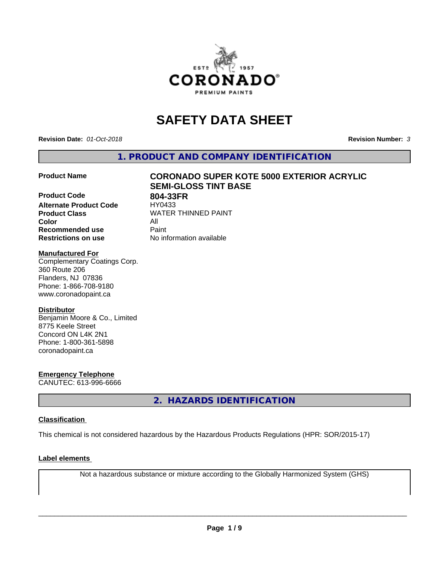

# **SAFETY DATA SHEET**

**Revision Date:** *01-Oct-2018* **Revision Number:** *3*

**1. PRODUCT AND COMPANY IDENTIFICATION**

**Product Code 804-33FR**<br>**Alternate Product Code HY0433 Alternate Product Code Product Class** WATER THINNED PAINT<br>
Color **Color** All **Recommended use** Paint **Restrictions on use** No information available

# **Product Name CORONADO SUPER KOTE 5000 EXTERIOR ACRYLIC SEMI-GLOSS TINT BASE**

# **Manufactured For**

Complementary Coatings Corp. 360 Route 206 Flanders, NJ 07836 Phone: 1-866-708-9180 www.coronadopaint.ca

# **Distributor**

Benjamin Moore & Co., Limited 8775 Keele Street Concord ON L4K 2N1 Phone: 1-800-361-5898 coronadopaint.ca

**Emergency Telephone** CANUTEC: 613-996-6666

**2. HAZARDS IDENTIFICATION**

# **Classification**

This chemical is not considered hazardous by the Hazardous Products Regulations (HPR: SOR/2015-17)

# **Label elements**

Not a hazardous substance or mixture according to the Globally Harmonized System (GHS)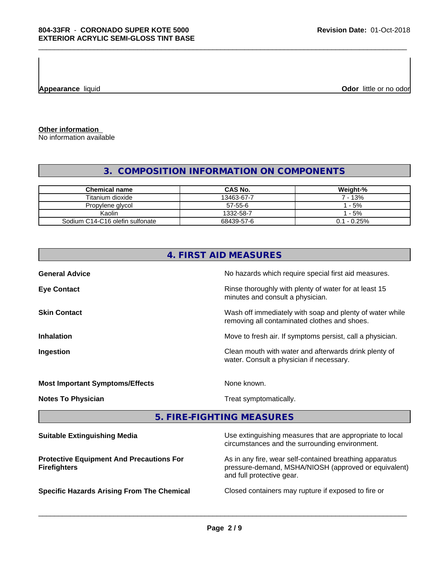**Appearance** liquid

**Odor** little or no odor

**Other information** No information available

# **3. COMPOSITION INFORMATION ON COMPONENTS**

| <b>Chemical name</b>            | <b>CAS No.</b> | Weight-%       |
|---------------------------------|----------------|----------------|
| Titanium dioxide                | 13463-67-7     | ' - 13%        |
| Propylene glycol                | 57-55-6        | $-5%$          |
| Kaolin                          | 1332-58-7      | $-5%$          |
| Sodium C14-C16 olefin sulfonate | 68439-57-6     | $0.1 - 0.25\%$ |

|                                                 | 4. FIRST AID MEASURES                                                                                      |
|-------------------------------------------------|------------------------------------------------------------------------------------------------------------|
| <b>General Advice</b>                           | No hazards which require special first aid measures.                                                       |
| <b>Eye Contact</b>                              | Rinse thoroughly with plenty of water for at least 15<br>minutes and consult a physician.                  |
| <b>Skin Contact</b>                             | Wash off immediately with soap and plenty of water while<br>removing all contaminated clothes and shoes.   |
| <b>Inhalation</b>                               | Move to fresh air. If symptoms persist, call a physician.                                                  |
| Ingestion                                       | Clean mouth with water and afterwards drink plenty of<br>water. Consult a physician if necessary.          |
| <b>Most Important Symptoms/Effects</b>          | None known.                                                                                                |
| <b>Notes To Physician</b>                       | Treat symptomatically.                                                                                     |
|                                                 | 5. FIRE-FIGHTING MEASURES                                                                                  |
| <b>Suitable Extinguishing Media</b>             | Use extinguishing measures that are appropriate to local<br>circumstances and the surrounding environment. |
| <b>Protective Equipment And Precautions For</b> | As in any fire, wear self-contained breathing apparatus                                                    |

**Protective Equipment And Precautions For Firefighters**

**Specific Hazards Arising From The Chemical Closed containers may rupture if exposed to fire or** 

 $\overline{\phantom{a}}$  ,  $\overline{\phantom{a}}$  ,  $\overline{\phantom{a}}$  ,  $\overline{\phantom{a}}$  ,  $\overline{\phantom{a}}$  ,  $\overline{\phantom{a}}$  ,  $\overline{\phantom{a}}$  ,  $\overline{\phantom{a}}$  ,  $\overline{\phantom{a}}$  ,  $\overline{\phantom{a}}$  ,  $\overline{\phantom{a}}$  ,  $\overline{\phantom{a}}$  ,  $\overline{\phantom{a}}$  ,  $\overline{\phantom{a}}$  ,  $\overline{\phantom{a}}$  ,  $\overline{\phantom{a}}$ 

and full protective gear.

pressure-demand, MSHA/NIOSH (approved or equivalent)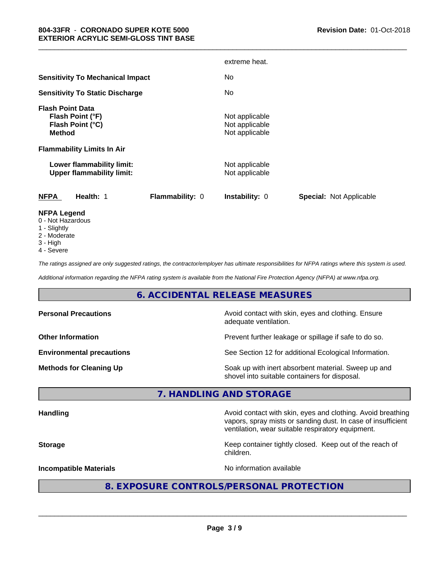|                                                                                                                       |                 | extreme heat.                                      |                                |
|-----------------------------------------------------------------------------------------------------------------------|-----------------|----------------------------------------------------|--------------------------------|
| <b>Sensitivity To Mechanical Impact</b>                                                                               |                 | No.                                                |                                |
| <b>Sensitivity To Static Discharge</b>                                                                                |                 | No.                                                |                                |
| <b>Flash Point Data</b><br>Flash Point (°F)<br>Flash Point (°C)<br><b>Method</b><br><b>Flammability Limits In Air</b> |                 | Not applicable<br>Not applicable<br>Not applicable |                                |
| Lower flammability limit:<br><b>Upper flammability limit:</b>                                                         |                 | Not applicable<br>Not applicable                   |                                |
| <b>NFPA</b><br>Health: 1                                                                                              | Flammability: 0 | Instability: 0                                     | <b>Special: Not Applicable</b> |
| <b>NFPA Legend</b><br>0 - Not Hazardous                                                                               |                 |                                                    |                                |

\_\_\_\_\_\_\_\_\_\_\_\_\_\_\_\_\_\_\_\_\_\_\_\_\_\_\_\_\_\_\_\_\_\_\_\_\_\_\_\_\_\_\_\_\_\_\_\_\_\_\_\_\_\_\_\_\_\_\_\_\_\_\_\_\_\_\_\_\_\_\_\_\_\_\_\_\_\_\_\_\_\_\_\_\_\_\_\_\_\_\_\_\_

- 1 Slightly
- 2 Moderate
- 3 High
- 4 Severe

*The ratings assigned are only suggested ratings, the contractor/employer has ultimate responsibilities for NFPA ratings where this system is used.*

*Additional information regarding the NFPA rating system is available from the National Fire Protection Agency (NFPA) at www.nfpa.org.*

# **6. ACCIDENTAL RELEASE MEASURES**

| <b>Personal Precautions</b>      | Avoid contact with skin, eyes and clothing. Ensure<br>adequate ventilation.                          |
|----------------------------------|------------------------------------------------------------------------------------------------------|
| <b>Other Information</b>         | Prevent further leakage or spillage if safe to do so.                                                |
| <b>Environmental precautions</b> | See Section 12 for additional Ecological Information.                                                |
| <b>Methods for Cleaning Up</b>   | Soak up with inert absorbent material. Sweep up and<br>shovel into suitable containers for disposal. |

# **7. HANDLING AND STORAGE**

Handling **Handling Avoid contact with skin, eyes and clothing. Avoid breathing Handling** vapors, spray mists or sanding dust. In case of insufficient ventilation, wear suitable respiratory equipment.

**Storage Keep container tightly closed. Keep out of the reach of Keep** container tightly closed. Keep out of the reach of children.

**Incompatible Materials Incompatible Materials No information available** 

 $\overline{\phantom{a}}$  ,  $\overline{\phantom{a}}$  ,  $\overline{\phantom{a}}$  ,  $\overline{\phantom{a}}$  ,  $\overline{\phantom{a}}$  ,  $\overline{\phantom{a}}$  ,  $\overline{\phantom{a}}$  ,  $\overline{\phantom{a}}$  ,  $\overline{\phantom{a}}$  ,  $\overline{\phantom{a}}$  ,  $\overline{\phantom{a}}$  ,  $\overline{\phantom{a}}$  ,  $\overline{\phantom{a}}$  ,  $\overline{\phantom{a}}$  ,  $\overline{\phantom{a}}$  ,  $\overline{\phantom{a}}$ 

# **8. EXPOSURE CONTROLS/PERSONAL PROTECTION**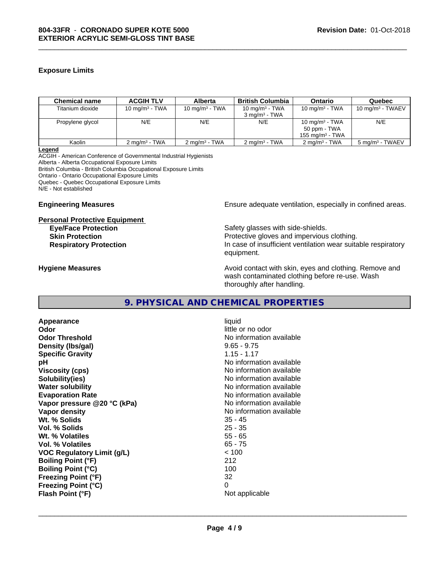# **Exposure Limits**

| <b>Chemical name</b> | <b>ACGIH TLV</b>         | <b>Alberta</b>           | <b>British Columbia</b>  | Ontario                  | Quebec                      |
|----------------------|--------------------------|--------------------------|--------------------------|--------------------------|-----------------------------|
| Titanium dioxide     | 10 mg/m $3$ - TWA        | 10 mg/m $3$ - TWA        | 10 mg/m $3$ - TWA        | 10 mg/m $3$ - TWA        | 10 mg/m $3$ - TWAEV         |
|                      |                          |                          | $3 \text{ ma/m}^3$ - TWA |                          |                             |
| Propylene glycol     | N/E                      | N/E                      | N/E                      | 10 mg/m $3$ - TWA        | N/E                         |
|                      |                          |                          |                          | 50 ppm - TWA             |                             |
|                      |                          |                          |                          | 155 mg/m $3$ - TWA       |                             |
| Kaolin               | $2 \text{ ma/m}^3$ - TWA | $2 \text{ ma/m}^3$ - TWA | $2 \text{ ma/m}^3$ - TWA | $2 \text{ ma/m}^3$ - TWA | 5 mg/m <sup>3</sup> - TWAEV |

\_\_\_\_\_\_\_\_\_\_\_\_\_\_\_\_\_\_\_\_\_\_\_\_\_\_\_\_\_\_\_\_\_\_\_\_\_\_\_\_\_\_\_\_\_\_\_\_\_\_\_\_\_\_\_\_\_\_\_\_\_\_\_\_\_\_\_\_\_\_\_\_\_\_\_\_\_\_\_\_\_\_\_\_\_\_\_\_\_\_\_\_\_

**Legend**

ACGIH - American Conference of Governmental Industrial Hygienists Alberta - Alberta Occupational Exposure Limits British Columbia - British Columbia Occupational Exposure Limits Ontario - Ontario Occupational Exposure Limits Quebec - Quebec Occupational Exposure Limits N/E - Not established

## **Personal Protective Equipment**

**Engineering Measures Ensure** Ensure adequate ventilation, especially in confined areas.

**Eye/Face Protection** Safety glasses with side-shields. **Skin Protection Protection Protective gloves and impervious clothing. Respiratory Protection In case of insufficient ventilation wear suitable respiratory** equipment.

**Hygiene Measures Avoid contact with skin, eyes and clothing. Remove and Hygiene Measures** and clothing. Remove and wash contaminated clothing before re-use. Wash thoroughly after handling.

# **9. PHYSICAL AND CHEMICAL PROPERTIES**

**Appearance** liquid **Odor** little or no odor **Odor Threshold No information available** No information available **Density (Ibs/gal)** 9.65 - 9.75 **Specific Gravity** 1.15 - 1.17 **pH pH**  $\blacksquare$ **Viscosity (cps)** No information available in the Viscosity (cps) **Solubility(ies)** No information available **Water solubility** No information available **Evaporation Rate No information available No information available Vapor pressure @20 °C (kPa)** No information available **Vapor density Vapor density No information available Wt. % Solids** 35 - 45 **Vol. % Solids** 25 - 35 **Wt. % Volatiles Vol. % Volatiles** 65 - 75 **VOC Regulatory Limit (g/L)** < 100 **Boiling Point (°F)** 212 **Boiling Point (°C)** 100 **Freezing Point (°F)** 32 **Freezing Point (°C)** 0 **Flash Point (°F)** Not applicable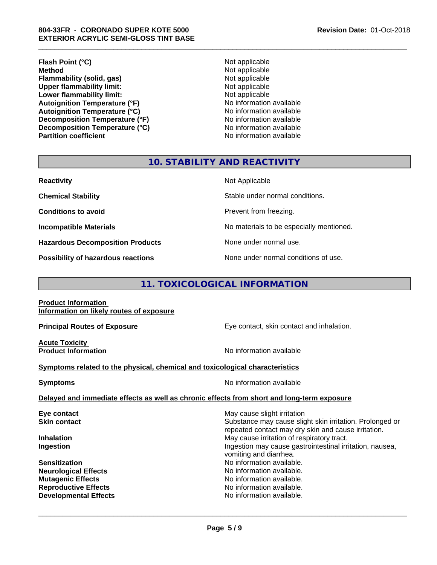# **804-33FR** - **CORONADO SUPER KOTE 5000 EXTERIOR ACRYLIC SEMI-GLOSS TINT BASE**

**Flash Point (°C)**<br> **Method** Not applicable<br> **Method** Not applicable **Flammability (solid, gas)**<br> **Contains Upper flammability limit:**<br>
Upper flammability limit:<br>  $\begin{array}{ccc}\n\bullet & \bullet & \bullet \\
\bullet & \bullet & \bullet\n\end{array}$  Not applicable **Upper flammability limit:**<br> **Lower flammability limit:**<br>
Not applicable<br>
Not applicable **Lower flammability limit:**<br> **Autoignition Temperature (°F)**<br>
Mo information available **Autoignition Temperature (°F) Autoignition Temperature (°C)**<br> **Decomposition Temperature (°F)** No information available<br>
No information available **Decomposition Temperature (°F)** No information available<br> **Decomposition Temperature (°C)** No information available **Decomposition Temperature (°C) Partition coefficient Contract Contract Contract Contract Contract Contract Contract Contract Contract Contract Contract Contract Contract Contract Contract Contract Contract Contract Contract Contract Contract Contract** 

**Not applicable**<br>Not applicable

\_\_\_\_\_\_\_\_\_\_\_\_\_\_\_\_\_\_\_\_\_\_\_\_\_\_\_\_\_\_\_\_\_\_\_\_\_\_\_\_\_\_\_\_\_\_\_\_\_\_\_\_\_\_\_\_\_\_\_\_\_\_\_\_\_\_\_\_\_\_\_\_\_\_\_\_\_\_\_\_\_\_\_\_\_\_\_\_\_\_\_\_\_

# **10. STABILITY AND REACTIVITY**

| <b>Reactivity</b>                       | Not Applicable                           |
|-----------------------------------------|------------------------------------------|
| <b>Chemical Stability</b>               | Stable under normal conditions.          |
| <b>Conditions to avoid</b>              | Prevent from freezing.                   |
| <b>Incompatible Materials</b>           | No materials to be especially mentioned. |
| <b>Hazardous Decomposition Products</b> | None under normal use.                   |
| Possibility of hazardous reactions      | None under normal conditions of use.     |

# **11. TOXICOLOGICAL INFORMATION**

**Product Information Information on likely routes of exposure**

**Acute Toxicity** 

**Principal Routes of Exposure Exposure** Eye contact, skin contact and inhalation.

**Product Information Intervention No information available** 

 $\overline{\phantom{a}}$  ,  $\overline{\phantom{a}}$  ,  $\overline{\phantom{a}}$  ,  $\overline{\phantom{a}}$  ,  $\overline{\phantom{a}}$  ,  $\overline{\phantom{a}}$  ,  $\overline{\phantom{a}}$  ,  $\overline{\phantom{a}}$  ,  $\overline{\phantom{a}}$  ,  $\overline{\phantom{a}}$  ,  $\overline{\phantom{a}}$  ,  $\overline{\phantom{a}}$  ,  $\overline{\phantom{a}}$  ,  $\overline{\phantom{a}}$  ,  $\overline{\phantom{a}}$  ,  $\overline{\phantom{a}}$ 

# **Symptoms** related to the physical, chemical and toxicological characteristics

**Symptoms** No information available

**Delayed and immediate effects as well as chronic effects from short and long-term exposure**

| Eye contact                  | May cause slight irritation                              |
|------------------------------|----------------------------------------------------------|
| <b>Skin contact</b>          | Substance may cause slight skin irritation. Prolonged or |
|                              | repeated contact may dry skin and cause irritation.      |
| <b>Inhalation</b>            | May cause irritation of respiratory tract.               |
| Ingestion                    | Ingestion may cause gastrointestinal irritation, nausea, |
|                              | vomiting and diarrhea.                                   |
| <b>Sensitization</b>         | No information available.                                |
| <b>Neurological Effects</b>  | No information available.                                |
| <b>Mutagenic Effects</b>     | No information available.                                |
| <b>Reproductive Effects</b>  | No information available.                                |
| <b>Developmental Effects</b> | No information available.                                |
|                              |                                                          |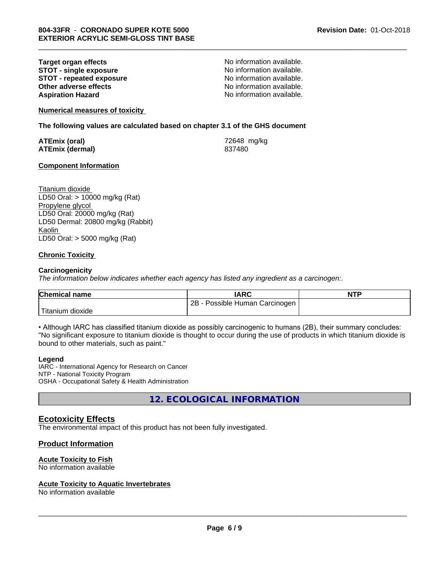**Target organ effects No information available.**<br> **STOT - single exposure No information available. STOT -** single exposure<br> **STOT -** repeated exposure<br>
No information available. **STOT - repeated exposure and intervals and information available.**<br> **Other adverse effects CONFING ACCOUNTER CONFING AVAILA No information available. Other adverse effects Aspiration Hazard Aspiration Hazard No information available.** 

\_\_\_\_\_\_\_\_\_\_\_\_\_\_\_\_\_\_\_\_\_\_\_\_\_\_\_\_\_\_\_\_\_\_\_\_\_\_\_\_\_\_\_\_\_\_\_\_\_\_\_\_\_\_\_\_\_\_\_\_\_\_\_\_\_\_\_\_\_\_\_\_\_\_\_\_\_\_\_\_\_\_\_\_\_\_\_\_\_\_\_\_\_

**Numerical measures of toxicity**

**The following values are calculated based on chapter 3.1 of the GHS document**

**ATEmix (oral)** 72648 mg/kg **ATEmix (dermal)** 837480

## **Component Information**

Titanium dioxide LD50 Oral: > 10000 mg/kg (Rat) Propylene glycol LD50 Oral: 20000 mg/kg (Rat) LD50 Dermal: 20800 mg/kg (Rabbit) Kaolin LD50 Oral: > 5000 mg/kg (Rat)

## **Chronic Toxicity**

#### **Carcinogenicity**

*The information below indicateswhether each agency has listed any ingredient as a carcinogen:.*

| <b>Chemical name</b>           | <b>IARC</b>                     | <b>NTP</b> |
|--------------------------------|---------------------------------|------------|
|                                | 2B<br>Possible Human Carcinogen |            |
| $T^*$<br>⊦dioxide<br>l itanıum |                                 |            |

• Although IARC has classified titanium dioxide as possibly carcinogenic to humans (2B), their summary concludes: "No significant exposure to titanium dioxide is thought to occur during the use of products in which titanium dioxide is bound to other materials, such as paint."

#### **Legend**

IARC - International Agency for Research on Cancer NTP - National Toxicity Program OSHA - Occupational Safety & Health Administration

**12. ECOLOGICAL INFORMATION**

# **Ecotoxicity Effects**

The environmental impact of this product has not been fully investigated.

## **Product Information**

# **Acute Toxicity to Fish**

No information available

#### **Acute Toxicity to Aquatic Invertebrates**

No information available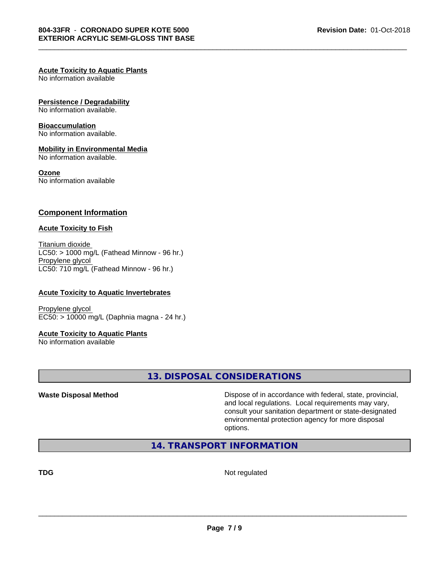#### **Acute Toxicity to Aquatic Plants**

No information available

#### **Persistence / Degradability**

No information available.

#### **Bioaccumulation**

No information available.

#### **Mobility in Environmental Media**

No information available.

#### **Ozone**

No information available

# **Component Information**

#### **Acute Toxicity to Fish**

Titanium dioxide  $LC50:$  > 1000 mg/L (Fathead Minnow - 96 hr.) Propylene glycol LC50: 710 mg/L (Fathead Minnow - 96 hr.)

## **Acute Toxicity to Aquatic Invertebrates**

Propylene glycol EC50: > 10000 mg/L (Daphnia magna - 24 hr.)

#### **Acute Toxicity to Aquatic Plants**

No information available

# **13. DISPOSAL CONSIDERATIONS**

**Waste Disposal Method Dispose of in accordance with federal, state, provincial,** and local regulations. Local requirements may vary, consult your sanitation department or state-designated environmental protection agency for more disposal options.

# **14. TRANSPORT INFORMATION**

**TDG** Not regulated

 $\overline{\phantom{a}}$  ,  $\overline{\phantom{a}}$  ,  $\overline{\phantom{a}}$  ,  $\overline{\phantom{a}}$  ,  $\overline{\phantom{a}}$  ,  $\overline{\phantom{a}}$  ,  $\overline{\phantom{a}}$  ,  $\overline{\phantom{a}}$  ,  $\overline{\phantom{a}}$  ,  $\overline{\phantom{a}}$  ,  $\overline{\phantom{a}}$  ,  $\overline{\phantom{a}}$  ,  $\overline{\phantom{a}}$  ,  $\overline{\phantom{a}}$  ,  $\overline{\phantom{a}}$  ,  $\overline{\phantom{a}}$ 

\_\_\_\_\_\_\_\_\_\_\_\_\_\_\_\_\_\_\_\_\_\_\_\_\_\_\_\_\_\_\_\_\_\_\_\_\_\_\_\_\_\_\_\_\_\_\_\_\_\_\_\_\_\_\_\_\_\_\_\_\_\_\_\_\_\_\_\_\_\_\_\_\_\_\_\_\_\_\_\_\_\_\_\_\_\_\_\_\_\_\_\_\_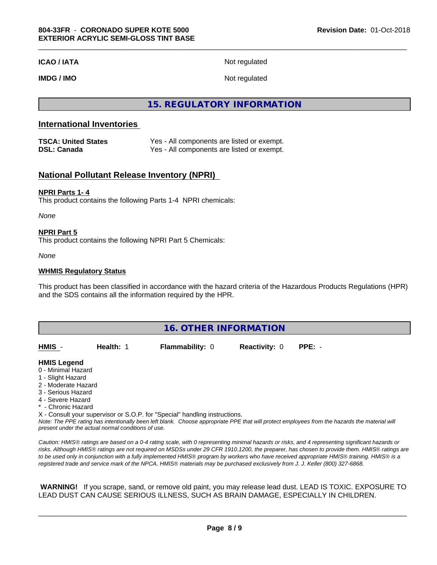**ICAO / IATA** Not regulated

**IMDG / IMO** Not regulated

**15. REGULATORY INFORMATION**

# **International Inventories**

| <b>TSCA: United States</b> | Yes - All components are listed or exempt. |
|----------------------------|--------------------------------------------|
| <b>DSL: Canada</b>         | Yes - All components are listed or exempt. |

# **National Pollutant Release Inventory (NPRI)**

#### **NPRI Parts 1- 4**

This product contains the following Parts 1-4 NPRI chemicals:

*None*

#### **NPRI Part 5**

This product contains the following NPRI Part 5 Chemicals:

*None*

#### **WHMIS Regulatory Status**

This product has been classified in accordance with the hazard criteria of the Hazardous Products Regulations (HPR) and the SDS contains all the information required by the HPR.

| 16. OTHER INFORMATION                                                                                                                                                                                       |           |                                                                            |                      |                                                                                                                                               |  |
|-------------------------------------------------------------------------------------------------------------------------------------------------------------------------------------------------------------|-----------|----------------------------------------------------------------------------|----------------------|-----------------------------------------------------------------------------------------------------------------------------------------------|--|
| HMIS -                                                                                                                                                                                                      | Health: 1 | <b>Flammability: 0</b>                                                     | <b>Reactivity: 0</b> | $PPE: -$                                                                                                                                      |  |
| <b>HMIS Legend</b><br>0 - Minimal Hazard<br>1 - Slight Hazard<br>2 - Moderate Hazard<br>3 - Serious Hazard<br>4 - Severe Hazard<br>* - Chronic Hazard<br>present under the actual normal conditions of use. |           | X - Consult your supervisor or S.O.P. for "Special" handling instructions. |                      | Note: The PPE rating has intentionally been left blank. Choose appropriate PPE that will protect employees from the hazards the material will |  |

*Caution: HMISÒ ratings are based on a 0-4 rating scale, with 0 representing minimal hazards or risks, and 4 representing significant hazards or risks. Although HMISÒ ratings are not required on MSDSs under 29 CFR 1910.1200, the preparer, has chosen to provide them. HMISÒ ratings are to be used only in conjunction with a fully implemented HMISÒ program by workers who have received appropriate HMISÒ training. HMISÒ is a registered trade and service mark of the NPCA. HMISÒ materials may be purchased exclusively from J. J. Keller (800) 327-6868.*

 **WARNING!** If you scrape, sand, or remove old paint, you may release lead dust. LEAD IS TOXIC. EXPOSURE TO LEAD DUST CAN CAUSE SERIOUS ILLNESS, SUCH AS BRAIN DAMAGE, ESPECIALLY IN CHILDREN.